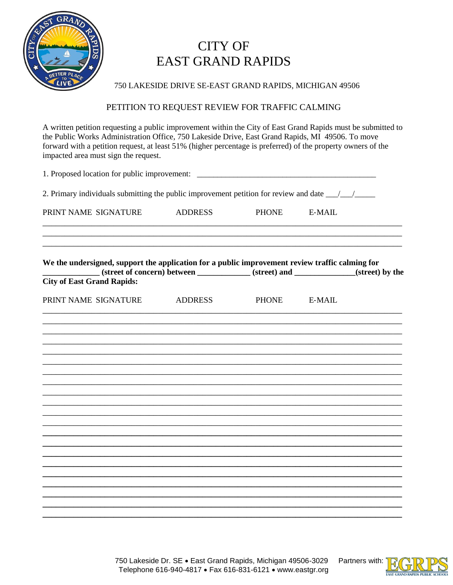

## **CITY OF EAST GRAND RAPIDS**

750 LAKESIDE DRIVE SE-EAST GRAND RAPIDS, MICHIGAN 49506

## PETITION TO REQUEST REVIEW FOR TRAFFIC CALMING

A written petition requesting a public improvement within the City of East Grand Rapids must be submitted to the Public Works Administration Office, 750 Lakeside Drive, East Grand Rapids, MI 49506. To move forward with a petition request, at least 51% (higher percentage is preferred) of the property owners of the impacted area must sign the request.

| 1. Proposed location for public improvement: ___________________________________<br>2. Primary individuals submitting the public improvement petition for review and date ______________                                 |  |              |  |  |
|--------------------------------------------------------------------------------------------------------------------------------------------------------------------------------------------------------------------------|--|--------------|--|--|
|                                                                                                                                                                                                                          |  |              |  |  |
| We the undersigned, support the application for a public improvement review traffic calming for<br>(street of concern) between _____________(street) and ___________(street) by the<br><b>City of East Grand Rapids:</b> |  |              |  |  |
| PRINT NAME SIGNATURE ADDRESS                                                                                                                                                                                             |  | PHONE E-MAIL |  |  |
|                                                                                                                                                                                                                          |  |              |  |  |
|                                                                                                                                                                                                                          |  |              |  |  |
|                                                                                                                                                                                                                          |  |              |  |  |
|                                                                                                                                                                                                                          |  |              |  |  |
|                                                                                                                                                                                                                          |  |              |  |  |
|                                                                                                                                                                                                                          |  |              |  |  |
|                                                                                                                                                                                                                          |  |              |  |  |
|                                                                                                                                                                                                                          |  |              |  |  |
|                                                                                                                                                                                                                          |  |              |  |  |